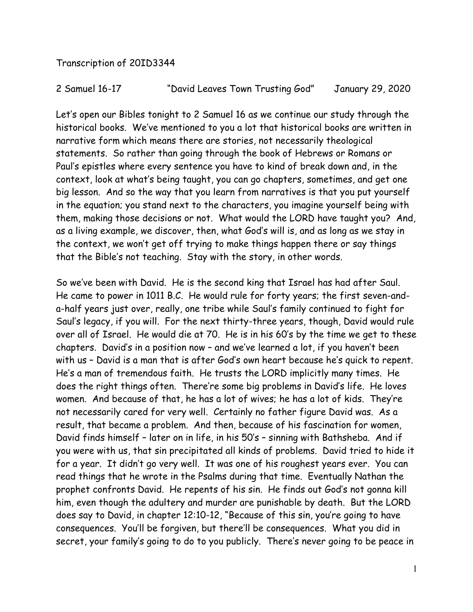## Transcription of 20ID3344

## 2 Samuel 16-17 "David Leaves Town Trusting God" January 29, 2020

Let's open our Bibles tonight to 2 Samuel 16 as we continue our study through the historical books. We've mentioned to you a lot that historical books are written in narrative form which means there are stories, not necessarily theological statements. So rather than going through the book of Hebrews or Romans or Paul's epistles where every sentence you have to kind of break down and, in the context, look at what's being taught, you can go chapters, sometimes, and get one big lesson. And so the way that you learn from narratives is that you put yourself in the equation; you stand next to the characters, you imagine yourself being with them, making those decisions or not. What would the LORD have taught you? And, as a living example, we discover, then, what God's will is, and as long as we stay in the context, we won't get off trying to make things happen there or say things that the Bible's not teaching. Stay with the story, in other words.

So we've been with David. He is the second king that Israel has had after Saul. He came to power in 1011 B.C. He would rule for forty years; the first seven-anda-half years just over, really, one tribe while Saul's family continued to fight for Saul's legacy, if you will. For the next thirty-three years, though, David would rule over all of Israel. He would die at 70. He is in his 60's by the time we get to these chapters. David's in a position now – and we've learned a lot, if you haven't been with us – David is a man that is after God's own heart because he's quick to repent. He's a man of tremendous faith. He trusts the LORD implicitly many times. He does the right things often. There're some big problems in David's life. He loves women. And because of that, he has a lot of wives; he has a lot of kids. They're not necessarily cared for very well. Certainly no father figure David was. As a result, that became a problem. And then, because of his fascination for women, David finds himself – later on in life, in his 50's – sinning with Bathsheba. And if you were with us, that sin precipitated all kinds of problems. David tried to hide it for a year. It didn't go very well. It was one of his roughest years ever. You can read things that he wrote in the Psalms during that time. Eventually Nathan the prophet confronts David. He repents of his sin. He finds out God's not gonna kill him, even though the adultery and murder are punishable by death. But the LORD does say to David, in chapter 12:10-12, "Because of this sin, you're going to have consequences. You'll be forgiven, but there'll be consequences. What you did in secret, your family's going to do to you publicly. There's never going to be peace in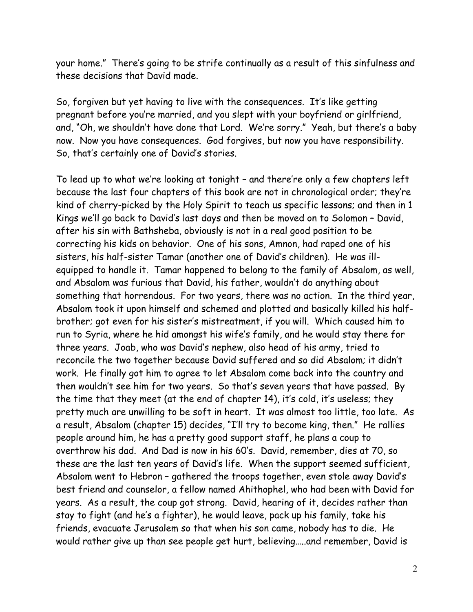your home." There's going to be strife continually as a result of this sinfulness and these decisions that David made.

So, forgiven but yet having to live with the consequences. It's like getting pregnant before you're married, and you slept with your boyfriend or girlfriend, and, "Oh, we shouldn't have done that Lord. We're sorry." Yeah, but there's a baby now. Now you have consequences. God forgives, but now you have responsibility. So, that's certainly one of David's stories.

To lead up to what we're looking at tonight – and there're only a few chapters left because the last four chapters of this book are not in chronological order; they're kind of cherry-picked by the Holy Spirit to teach us specific lessons; and then in 1 Kings we'll go back to David's last days and then be moved on to Solomon – David, after his sin with Bathsheba, obviously is not in a real good position to be correcting his kids on behavior. One of his sons, Amnon, had raped one of his sisters, his half-sister Tamar (another one of David's children). He was illequipped to handle it. Tamar happened to belong to the family of Absalom, as well, and Absalom was furious that David, his father, wouldn't do anything about something that horrendous. For two years, there was no action. In the third year, Absalom took it upon himself and schemed and plotted and basically killed his halfbrother; got even for his sister's mistreatment, if you will. Which caused him to run to Syria, where he hid amongst his wife's family, and he would stay there for three years. Joab, who was David's nephew, also head of his army, tried to reconcile the two together because David suffered and so did Absalom; it didn't work. He finally got him to agree to let Absalom come back into the country and then wouldn't see him for two years. So that's seven years that have passed. By the time that they meet (at the end of chapter 14), it's cold, it's useless; they pretty much are unwilling to be soft in heart. It was almost too little, too late. As a result, Absalom (chapter 15) decides, "I'll try to become king, then." He rallies people around him, he has a pretty good support staff, he plans a coup to overthrow his dad. And Dad is now in his 60's. David, remember, dies at 70, so these are the last ten years of David's life. When the support seemed sufficient, Absalom went to Hebron – gathered the troops together, even stole away David's best friend and counselor, a fellow named Ahithophel, who had been with David for years. As a result, the coup got strong. David, hearing of it, decides rather than stay to fight (and he's a fighter), he would leave, pack up his family, take his friends, evacuate Jerusalem so that when his son came, nobody has to die. He would rather give up than see people get hurt, believing…..and remember, David is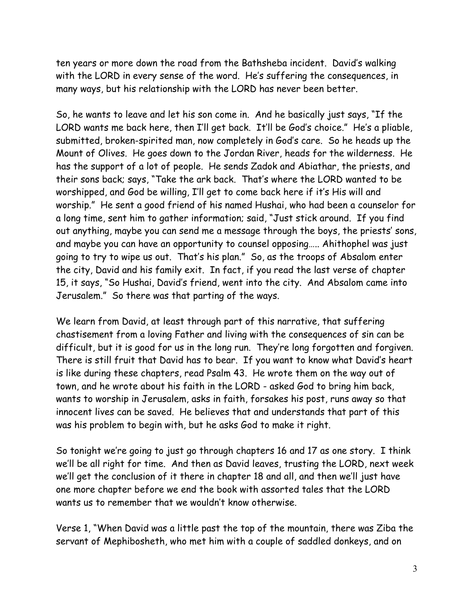ten years or more down the road from the Bathsheba incident. David's walking with the LORD in every sense of the word. He's suffering the consequences, in many ways, but his relationship with the LORD has never been better.

So, he wants to leave and let his son come in. And he basically just says, "If the LORD wants me back here, then I'll get back. It'll be God's choice." He's a pliable, submitted, broken-spirited man, now completely in God's care. So he heads up the Mount of Olives. He goes down to the Jordan River, heads for the wilderness. He has the support of a lot of people. He sends Zadok and Abiathar, the priests, and their sons back; says, "Take the ark back. That's where the LORD wanted to be worshipped, and God be willing, I'll get to come back here if it's His will and worship." He sent a good friend of his named Hushai, who had been a counselor for a long time, sent him to gather information; said, "Just stick around. If you find out anything, maybe you can send me a message through the boys, the priests' sons, and maybe you can have an opportunity to counsel opposing….. Ahithophel was just going to try to wipe us out. That's his plan." So, as the troops of Absalom enter the city, David and his family exit. In fact, if you read the last verse of chapter 15, it says, "So Hushai, David's friend, went into the city. And Absalom came into Jerusalem." So there was that parting of the ways.

We learn from David, at least through part of this narrative, that suffering chastisement from a loving Father and living with the consequences of sin can be difficult, but it is good for us in the long run. They're long forgotten and forgiven. There is still fruit that David has to bear. If you want to know what David's heart is like during these chapters, read Psalm 43. He wrote them on the way out of town, and he wrote about his faith in the LORD - asked God to bring him back, wants to worship in Jerusalem, asks in faith, forsakes his post, runs away so that innocent lives can be saved. He believes that and understands that part of this was his problem to begin with, but he asks God to make it right.

So tonight we're going to just go through chapters 16 and 17 as one story. I think we'll be all right for time. And then as David leaves, trusting the LORD, next week we'll get the conclusion of it there in chapter 18 and all, and then we'll just have one more chapter before we end the book with assorted tales that the LORD wants us to remember that we wouldn't know otherwise.

Verse 1, "When David was a little past the top of the mountain, there was Ziba the servant of Mephibosheth, who met him with a couple of saddled donkeys, and on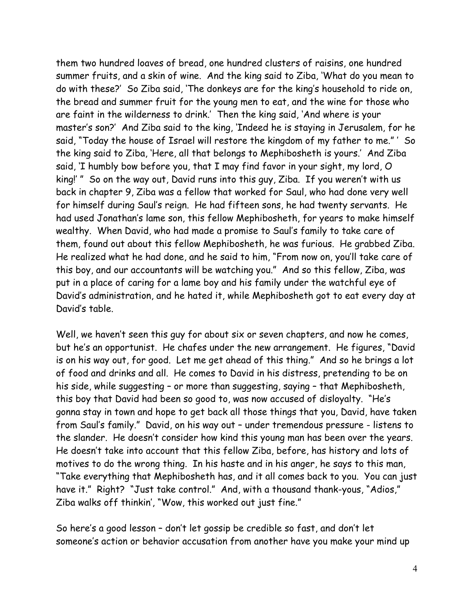them two hundred loaves of bread, one hundred clusters of raisins, one hundred summer fruits, and a skin of wine. And the king said to Ziba, 'What do you mean to do with these?' So Ziba said, 'The donkeys are for the king's household to ride on, the bread and summer fruit for the young men to eat, and the wine for those who are faint in the wilderness to drink.' Then the king said, 'And where is your master's son?' And Ziba said to the king, 'Indeed he is staying in Jerusalem, for he said, "Today the house of Israel will restore the kingdom of my father to me." ' So the king said to Ziba, 'Here, all that belongs to Mephibosheth is yours.' And Ziba said, 'I humbly bow before you, that I may find favor in your sight, my lord, O king!' " So on the way out, David runs into this guy, Ziba. If you weren't with us back in chapter 9, Ziba was a fellow that worked for Saul, who had done very well for himself during Saul's reign. He had fifteen sons, he had twenty servants. He had used Jonathan's lame son, this fellow Mephibosheth, for years to make himself wealthy. When David, who had made a promise to Saul's family to take care of them, found out about this fellow Mephibosheth, he was furious. He grabbed Ziba. He realized what he had done, and he said to him, "From now on, you'll take care of this boy, and our accountants will be watching you." And so this fellow, Ziba, was put in a place of caring for a lame boy and his family under the watchful eye of David's administration, and he hated it, while Mephibosheth got to eat every day at David's table.

Well, we haven't seen this guy for about six or seven chapters, and now he comes, but he's an opportunist. He chafes under the new arrangement. He figures, "David is on his way out, for good. Let me get ahead of this thing." And so he brings a lot of food and drinks and all. He comes to David in his distress, pretending to be on his side, while suggesting – or more than suggesting, saying – that Mephibosheth, this boy that David had been so good to, was now accused of disloyalty. "He's gonna stay in town and hope to get back all those things that you, David, have taken from Saul's family." David, on his way out – under tremendous pressure - listens to the slander. He doesn't consider how kind this young man has been over the years. He doesn't take into account that this fellow Ziba, before, has history and lots of motives to do the wrong thing. In his haste and in his anger, he says to this man, "Take everything that Mephibosheth has, and it all comes back to you. You can just have it." Right? "Just take control." And, with a thousand thank-yous, "Adios," Ziba walks off thinkin', "Wow, this worked out just fine."

So here's a good lesson – don't let gossip be credible so fast, and don't let someone's action or behavior accusation from another have you make your mind up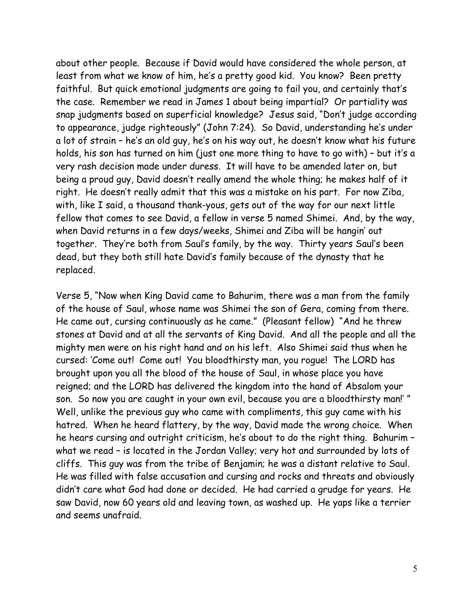about other people. Because if David would have considered the whole person, at least from what we know of him, he's a pretty good kid. You know? Been pretty faithful. But quick emotional judgments are going to fail you, and certainly that's the case. Remember we read in James 1 about being impartial? Or partiality was snap judgments based on superficial knowledge? Jesus said, "Don't judge according to appearance, judge righteously" (John 7:24). So David, understanding he's under a lot of strain – he's an old guy, he's on his way out, he doesn't know what his future holds, his son has turned on him (just one more thing to have to go with) – but it's a very rash decision made under duress. It will have to be amended later on, but being a proud guy, David doesn't really amend the whole thing; he makes half of it right. He doesn't really admit that this was a mistake on his part. For now Ziba, with, like I said, a thousand thank-yous, gets out of the way for our next little fellow that comes to see David, a fellow in verse 5 named Shimei. And, by the way, when David returns in a few days/weeks, Shimei and Ziba will be hangin' out together. They're both from Saul's family, by the way. Thirty years Saul's been dead, but they both still hate David's family because of the dynasty that he replaced.

Verse 5, "Now when King David came to Bahurim, there was a man from the family of the house of Saul, whose name was Shimei the son of Gera, coming from there. He came out, cursing continuously as he came." (Pleasant fellow) "And he threw stones at David and at all the servants of King David. And all the people and all the mighty men were on his right hand and on his left. Also Shimei said thus when he cursed: 'Come out! Come out! You bloodthirsty man, you rogue! The LORD has brought upon you all the blood of the house of Saul, in whose place you have reigned; and the LORD has delivered the kingdom into the hand of Absalom your son. So now you are caught in your own evil, because you are a bloodthirsty man!' " Well, unlike the previous guy who came with compliments, this guy came with his hatred. When he heard flattery, by the way, David made the wrong choice. When he hears cursing and outright criticism, he's about to do the right thing. Bahurim – what we read – is located in the Jordan Valley; very hot and surrounded by lots of cliffs. This guy was from the tribe of Benjamin; he was a distant relative to Saul. He was filled with false accusation and cursing and rocks and threats and obviously didn't care what God had done or decided. He had carried a grudge for years. He saw David, now 60 years old and leaving town, as washed up. He yaps like a terrier and seems unafraid.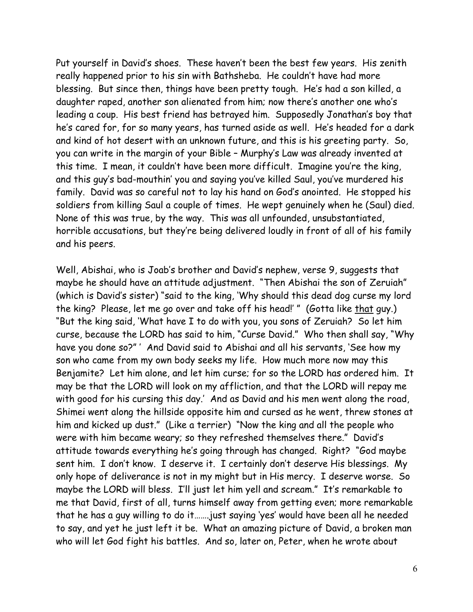Put yourself in David's shoes. These haven't been the best few years. His zenith really happened prior to his sin with Bathsheba. He couldn't have had more blessing. But since then, things have been pretty tough. He's had a son killed, a daughter raped, another son alienated from him; now there's another one who's leading a coup. His best friend has betrayed him. Supposedly Jonathan's boy that he's cared for, for so many years, has turned aside as well. He's headed for a dark and kind of hot desert with an unknown future, and this is his greeting party. So, you can write in the margin of your Bible – Murphy's Law was already invented at this time. I mean, it couldn't have been more difficult. Imagine you're the king, and this guy's bad-mouthin' you and saying you've killed Saul, you've murdered his family. David was so careful not to lay his hand on God's anointed. He stopped his soldiers from killing Saul a couple of times. He wept genuinely when he (Saul) died. None of this was true, by the way. This was all unfounded, unsubstantiated, horrible accusations, but they're being delivered loudly in front of all of his family and his peers.

Well, Abishai, who is Joab's brother and David's nephew, verse 9, suggests that maybe he should have an attitude adjustment. "Then Abishai the son of Zeruiah" (which is David's sister) "said to the king, 'Why should this dead dog curse my lord the king? Please, let me go over and take off his head!' " (Gotta like that guy.) "But the king said, 'What have I to do with you, you sons of Zeruiah? So let him curse, because the LORD has said to him, "Curse David." Who then shall say, "Why have you done so?" ' And David said to Abishai and all his servants, 'See how my son who came from my own body seeks my life. How much more now may this Benjamite? Let him alone, and let him curse; for so the LORD has ordered him. It may be that the LORD will look on my affliction, and that the LORD will repay me with good for his cursing this day.' And as David and his men went along the road, Shimei went along the hillside opposite him and cursed as he went, threw stones at him and kicked up dust." (Like a terrier) "Now the king and all the people who were with him became weary; so they refreshed themselves there." David's attitude towards everything he's going through has changed. Right? "God maybe sent him. I don't know. I deserve it. I certainly don't deserve His blessings. My only hope of deliverance is not in my might but in His mercy. I deserve worse. So maybe the LORD will bless. I'll just let him yell and scream." It's remarkable to me that David, first of all, turns himself away from getting even; more remarkable that he has a guy willing to do it…….just saying 'yes' would have been all he needed to say, and yet he just left it be. What an amazing picture of David, a broken man who will let God fight his battles. And so, later on, Peter, when he wrote about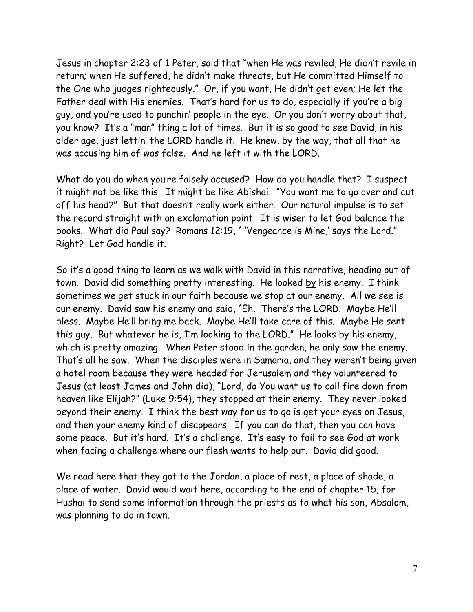Jesus in chapter 2:23 of 1 Peter, said that "when He was reviled, He didn't revile in return; when He suffered, he didn't make threats, but He committed Himself to the One who judges righteously." Or, if you want, He didn't get even; He let the Father deal with His enemies. That's hard for us to do, especially if you're a big guy, and you're used to punchin' people in the eye. Or you don't worry about that, you know? It's a "man" thing a lot of times. But it is so good to see David, in his older age, just lettin' the LORD handle it. He knew, by the way, that all that he was accusing him of was false. And he left it with the LORD.

What do you do when you're falsely accused? How do you handle that? I suspect it might not be like this. It might be like Abishai. "You want me to go over and cut off his head?" But that doesn't really work either. Our natural impulse is to set the record straight with an exclamation point. It is wiser to let God balance the books. What did Paul say? Romans 12:19, " 'Vengeance is Mine,' says the Lord." Right? Let God handle it.

So it's a good thing to learn as we walk with David in this narrative, heading out of town. David did something pretty interesting. He looked by his enemy. I think sometimes we get stuck in our faith because we stop at our enemy. All we see is our enemy. David saw his enemy and said, "Eh. There's the LORD. Maybe He'll bless. Maybe He'll bring me back. Maybe He'll take care of this. Maybe He sent this guy. But whatever he is, I'm looking to the LORD." He looks by his enemy, which is pretty amazing. When Peter stood in the garden, he only saw the enemy. That's all he saw. When the disciples were in Samaria, and they weren't being given a hotel room because they were headed for Jerusalem and they volunteered to Jesus (at least James and John did), "Lord, do You want us to call fire down from heaven like Elijah?" (Luke 9:54), they stopped at their enemy. They never looked beyond their enemy. I think the best way for us to go is get your eyes on Jesus, and then your enemy kind of disappears. If you can do that, then you can have some peace. But it's hard. It's a challenge. It's easy to fail to see God at work when facing a challenge where our flesh wants to help out. David did good.

We read here that they got to the Jordan, a place of rest, a place of shade, a place of water. David would wait here, according to the end of chapter 15, for Hushai to send some information through the priests as to what his son, Absalom, was planning to do in town.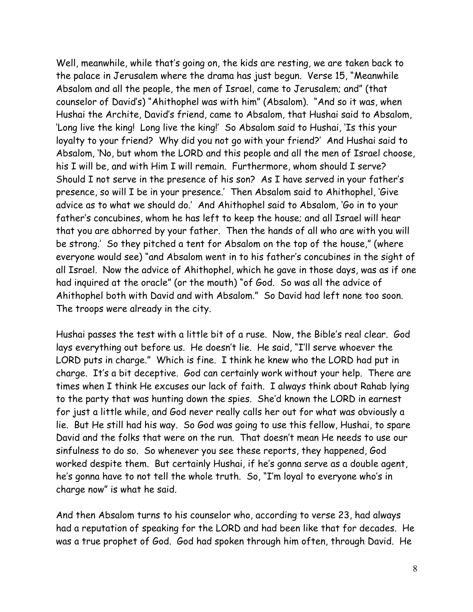Well, meanwhile, while that's going on, the kids are resting, we are taken back to the palace in Jerusalem where the drama has just begun. Verse 15, "Meanwhile Absalom and all the people, the men of Israel, came to Jerusalem; and" (that counselor of David's) "Ahithophel was with him" (Absalom). "And so it was, when Hushai the Archite, David's friend, came to Absalom, that Hushai said to Absalom, 'Long live the king! Long live the king!' So Absalom said to Hushai, 'Is this your loyalty to your friend? Why did you not go with your friend?' And Hushai said to Absalom, 'No, but whom the LORD and this people and all the men of Israel choose, his I will be, and with Him I will remain. Furthermore, whom should I serve? Should I not serve in the presence of his son? As I have served in your father's presence, so will I be in your presence.' Then Absalom said to Ahithophel, 'Give advice as to what we should do.' And Ahithophel said to Absalom, 'Go in to your father's concubines, whom he has left to keep the house; and all Israel will hear that you are abhorred by your father. Then the hands of all who are with you will be strong.' So they pitched a tent for Absalom on the top of the house," (where everyone would see) "and Absalom went in to his father's concubines in the sight of all Israel. Now the advice of Ahithophel, which he gave in those days, was as if one had inquired at the oracle" (or the mouth) "of God. So was all the advice of Ahithophel both with David and with Absalom." So David had left none too soon. The troops were already in the city.

Hushai passes the test with a little bit of a ruse. Now, the Bible's real clear. God lays everything out before us. He doesn't lie. He said, "I'll serve whoever the LORD puts in charge." Which is fine. I think he knew who the LORD had put in charge. It's a bit deceptive. God can certainly work without your help. There are times when I think He excuses our lack of faith. I always think about Rahab lying to the party that was hunting down the spies. She'd known the LORD in earnest for just a little while, and God never really calls her out for what was obviously a lie. But He still had his way. So God was going to use this fellow, Hushai, to spare David and the folks that were on the run. That doesn't mean He needs to use our sinfulness to do so. So whenever you see these reports, they happened, God worked despite them. But certainly Hushai, if he's gonna serve as a double agent, he's gonna have to not tell the whole truth. So, "I'm loyal to everyone who's in charge now" is what he said.

And then Absalom turns to his counselor who, according to verse 23, had always had a reputation of speaking for the LORD and had been like that for decades. He was a true prophet of God. God had spoken through him often, through David. He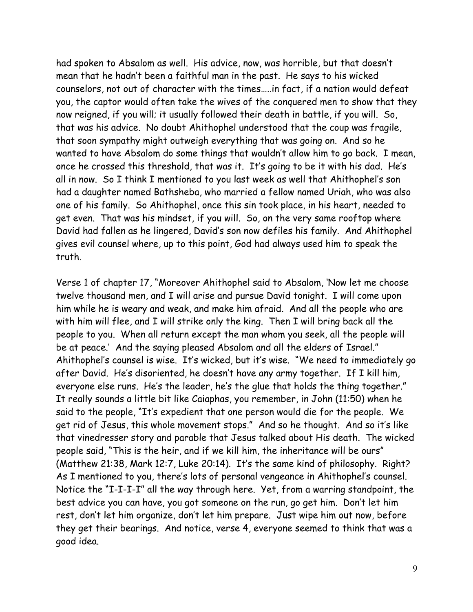had spoken to Absalom as well. His advice, now, was horrible, but that doesn't mean that he hadn't been a faithful man in the past. He says to his wicked counselors, not out of character with the times…..in fact, if a nation would defeat you, the captor would often take the wives of the conquered men to show that they now reigned, if you will; it usually followed their death in battle, if you will. So, that was his advice. No doubt Ahithophel understood that the coup was fragile, that soon sympathy might outweigh everything that was going on. And so he wanted to have Absalom do some things that wouldn't allow him to go back. I mean, once he crossed this threshold, that was it. It's going to be it with his dad. He's all in now. So I think I mentioned to you last week as well that Ahithophel's son had a daughter named Bathsheba, who married a fellow named Uriah, who was also one of his family. So Ahithophel, once this sin took place, in his heart, needed to get even. That was his mindset, if you will. So, on the very same rooftop where David had fallen as he lingered, David's son now defiles his family. And Ahithophel gives evil counsel where, up to this point, God had always used him to speak the truth.

Verse 1 of chapter 17, "Moreover Ahithophel said to Absalom, 'Now let me choose twelve thousand men, and I will arise and pursue David tonight. I will come upon him while he is weary and weak, and make him afraid. And all the people who are with him will flee, and I will strike only the king. Then I will bring back all the people to you. When all return except the man whom you seek, all the people will be at peace.' And the saying pleased Absalom and all the elders of Israel." Ahithophel's counsel is wise. It's wicked, but it's wise. "We need to immediately go after David. He's disoriented, he doesn't have any army together. If I kill him, everyone else runs. He's the leader, he's the glue that holds the thing together." It really sounds a little bit like Caiaphas, you remember, in John (11:50) when he said to the people, "It's expedient that one person would die for the people. We get rid of Jesus, this whole movement stops." And so he thought. And so it's like that vinedresser story and parable that Jesus talked about His death. The wicked people said, "This is the heir, and if we kill him, the inheritance will be ours" (Matthew 21:38, Mark 12:7, Luke 20:14). It's the same kind of philosophy. Right? As I mentioned to you, there's lots of personal vengeance in Ahithophel's counsel. Notice the "I-I-I-I" all the way through here. Yet, from a warring standpoint, the best advice you can have, you got someone on the run, go get him. Don't let him rest, don't let him organize, don't let him prepare. Just wipe him out now, before they get their bearings. And notice, verse 4, everyone seemed to think that was a good idea.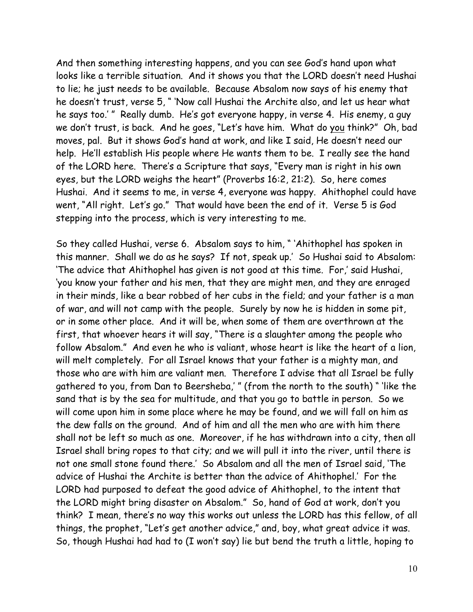And then something interesting happens, and you can see God's hand upon what looks like a terrible situation. And it shows you that the LORD doesn't need Hushai to lie; he just needs to be available. Because Absalom now says of his enemy that he doesn't trust, verse 5, " 'Now call Hushai the Archite also, and let us hear what he says too.' " Really dumb. He's got everyone happy, in verse 4. His enemy, a guy we don't trust, is back. And he goes, "Let's have him. What do you think?" Oh, bad moves, pal. But it shows God's hand at work, and like I said, He doesn't need our help. He'll establish His people where He wants them to be. I really see the hand of the LORD here. There's a Scripture that says, "Every man is right in his own eyes, but the LORD weighs the heart" (Proverbs 16:2, 21:2). So, here comes Hushai. And it seems to me, in verse 4, everyone was happy. Ahithophel could have went, "All right. Let's go." That would have been the end of it. Verse 5 is God stepping into the process, which is very interesting to me.

So they called Hushai, verse 6. Absalom says to him, " 'Ahithophel has spoken in this manner. Shall we do as he says? If not, speak up.' So Hushai said to Absalom: 'The advice that Ahithophel has given is not good at this time. For,' said Hushai, 'you know your father and his men, that they are might men, and they are enraged in their minds, like a bear robbed of her cubs in the field; and your father is a man of war, and will not camp with the people. Surely by now he is hidden in some pit, or in some other place. And it will be, when some of them are overthrown at the first, that whoever hears it will say, "There is a slaughter among the people who follow Absalom." And even he who is valiant, whose heart is like the heart of a lion, will melt completely. For all Israel knows that your father is a mighty man, and those who are with him are valiant men. Therefore I advise that all Israel be fully gathered to you, from Dan to Beersheba,' " (from the north to the south) " 'like the sand that is by the sea for multitude, and that you go to battle in person. So we will come upon him in some place where he may be found, and we will fall on him as the dew falls on the ground. And of him and all the men who are with him there shall not be left so much as one. Moreover, if he has withdrawn into a city, then all Israel shall bring ropes to that city; and we will pull it into the river, until there is not one small stone found there.' So Absalom and all the men of Israel said, 'The advice of Hushai the Archite is better than the advice of Ahithophel.' For the LORD had purposed to defeat the good advice of Ahithophel, to the intent that the LORD might bring disaster on Absalom." So, hand of God at work, don't you think? I mean, there's no way this works out unless the LORD has this fellow, of all things, the prophet, "Let's get another advice," and, boy, what great advice it was. So, though Hushai had had to (I won't say) lie but bend the truth a little, hoping to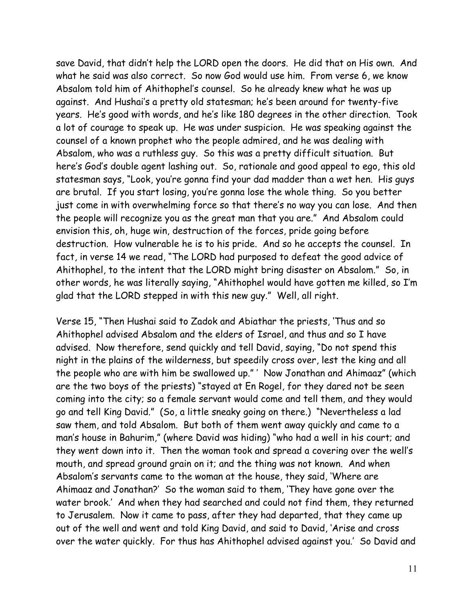save David, that didn't help the LORD open the doors. He did that on His own. And what he said was also correct. So now God would use him. From verse 6, we know Absalom told him of Ahithophel's counsel. So he already knew what he was up against. And Hushai's a pretty old statesman; he's been around for twenty-five years. He's good with words, and he's like 180 degrees in the other direction. Took a lot of courage to speak up. He was under suspicion. He was speaking against the counsel of a known prophet who the people admired, and he was dealing with Absalom, who was a ruthless guy. So this was a pretty difficult situation. But here's God's double agent lashing out. So, rationale and good appeal to ego, this old statesman says, "Look, you're gonna find your dad madder than a wet hen. His guys are brutal. If you start losing, you're gonna lose the whole thing. So you better just come in with overwhelming force so that there's no way you can lose. And then the people will recognize you as the great man that you are." And Absalom could envision this, oh, huge win, destruction of the forces, pride going before destruction. How vulnerable he is to his pride. And so he accepts the counsel. In fact, in verse 14 we read, "The LORD had purposed to defeat the good advice of Ahithophel, to the intent that the LORD might bring disaster on Absalom." So, in other words, he was literally saying, "Ahithophel would have gotten me killed, so I'm glad that the LORD stepped in with this new guy." Well, all right.

Verse 15, "Then Hushai said to Zadok and Abiathar the priests, 'Thus and so Ahithophel advised Absalom and the elders of Israel, and thus and so I have advised. Now therefore, send quickly and tell David, saying, "Do not spend this night in the plains of the wilderness, but speedily cross over, lest the king and all the people who are with him be swallowed up." ' Now Jonathan and Ahimaaz" (which are the two boys of the priests) "stayed at En Rogel, for they dared not be seen coming into the city; so a female servant would come and tell them, and they would go and tell King David." (So, a little sneaky going on there.) "Nevertheless a lad saw them, and told Absalom. But both of them went away quickly and came to a man's house in Bahurim," (where David was hiding) "who had a well in his court; and they went down into it. Then the woman took and spread a covering over the well's mouth, and spread ground grain on it; and the thing was not known. And when Absalom's servants came to the woman at the house, they said, 'Where are Ahimaaz and Jonathan?' So the woman said to them, 'They have gone over the water brook.' And when they had searched and could not find them, they returned to Jerusalem. Now it came to pass, after they had departed, that they came up out of the well and went and told King David, and said to David, 'Arise and cross over the water quickly. For thus has Ahithophel advised against you.' So David and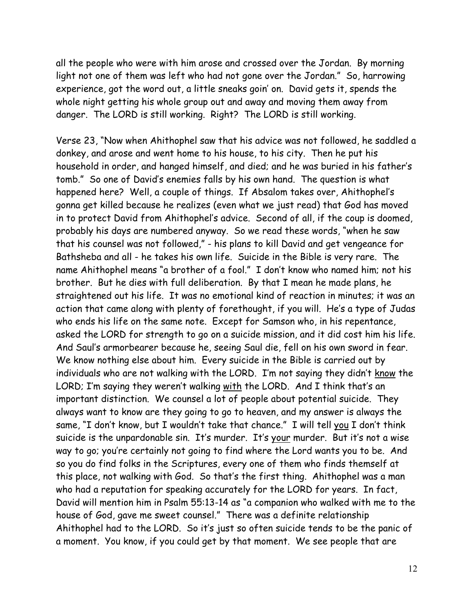all the people who were with him arose and crossed over the Jordan. By morning light not one of them was left who had not gone over the Jordan." So, harrowing experience, got the word out, a little sneaks goin' on. David gets it, spends the whole night getting his whole group out and away and moving them away from danger. The LORD is still working. Right? The LORD is still working.

Verse 23, "Now when Ahithophel saw that his advice was not followed, he saddled a donkey, and arose and went home to his house, to his city. Then he put his household in order, and hanged himself, and died; and he was buried in his father's tomb." So one of David's enemies falls by his own hand. The question is what happened here? Well, a couple of things. If Absalom takes over, Ahithophel's gonna get killed because he realizes (even what we just read) that God has moved in to protect David from Ahithophel's advice. Second of all, if the coup is doomed, probably his days are numbered anyway. So we read these words, "when he saw that his counsel was not followed," - his plans to kill David and get vengeance for Bathsheba and all - he takes his own life. Suicide in the Bible is very rare. The name Ahithophel means "a brother of a fool." I don't know who named him; not his brother. But he dies with full deliberation. By that I mean he made plans, he straightened out his life. It was no emotional kind of reaction in minutes; it was an action that came along with plenty of forethought, if you will. He's a type of Judas who ends his life on the same note. Except for Samson who, in his repentance, asked the LORD for strength to go on a suicide mission, and it did cost him his life. And Saul's armorbearer because he, seeing Saul die, fell on his own sword in fear. We know nothing else about him. Every suicide in the Bible is carried out by individuals who are not walking with the LORD. I'm not saying they didn't know the LORD; I'm saying they weren't walking with the LORD. And I think that's an important distinction. We counsel a lot of people about potential suicide. They always want to know are they going to go to heaven, and my answer is always the same, "I don't know, but I wouldn't take that chance." I will tell you I don't think suicide is the unpardonable sin. It's murder. It's your murder. But it's not a wise way to go; you're certainly not going to find where the Lord wants you to be. And so you do find folks in the Scriptures, every one of them who finds themself at this place, not walking with God. So that's the first thing. Ahithophel was a man who had a reputation for speaking accurately for the LORD for years. In fact, David will mention him in Psalm 55:13-14 as "a companion who walked with me to the house of God, gave me sweet counsel." There was a definite relationship Ahithophel had to the LORD. So it's just so often suicide tends to be the panic of a moment. You know, if you could get by that moment. We see people that are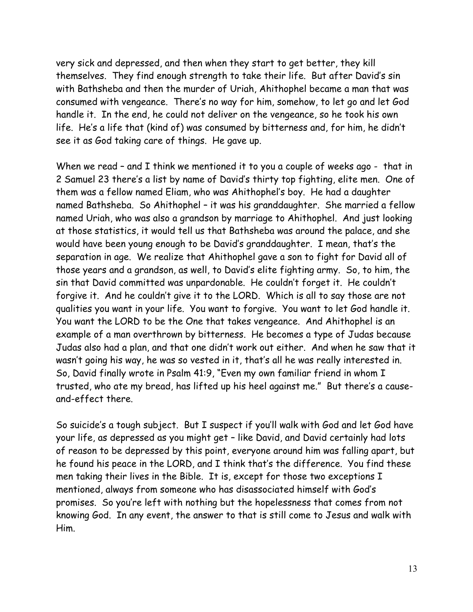very sick and depressed, and then when they start to get better, they kill themselves. They find enough strength to take their life. But after David's sin with Bathsheba and then the murder of Uriah, Ahithophel became a man that was consumed with vengeance. There's no way for him, somehow, to let go and let God handle it. In the end, he could not deliver on the vengeance, so he took his own life. He's a life that (kind of) was consumed by bitterness and, for him, he didn't see it as God taking care of things. He gave up.

When we read - and I think we mentioned it to you a couple of weeks ago - that in 2 Samuel 23 there's a list by name of David's thirty top fighting, elite men. One of them was a fellow named Eliam, who was Ahithophel's boy. He had a daughter named Bathsheba. So Ahithophel – it was his granddaughter. She married a fellow named Uriah, who was also a grandson by marriage to Ahithophel. And just looking at those statistics, it would tell us that Bathsheba was around the palace, and she would have been young enough to be David's granddaughter. I mean, that's the separation in age. We realize that Ahithophel gave a son to fight for David all of those years and a grandson, as well, to David's elite fighting army. So, to him, the sin that David committed was unpardonable. He couldn't forget it. He couldn't forgive it. And he couldn't give it to the LORD. Which is all to say those are not qualities you want in your life. You want to forgive. You want to let God handle it. You want the LORD to be the One that takes vengeance. And Ahithophel is an example of a man overthrown by bitterness. He becomes a type of Judas because Judas also had a plan, and that one didn't work out either. And when he saw that it wasn't going his way, he was so vested in it, that's all he was really interested in. So, David finally wrote in Psalm 41:9, "Even my own familiar friend in whom I trusted, who ate my bread, has lifted up his heel against me." But there's a causeand-effect there.

So suicide's a tough subject. But I suspect if you'll walk with God and let God have your life, as depressed as you might get – like David, and David certainly had lots of reason to be depressed by this point, everyone around him was falling apart, but he found his peace in the LORD, and I think that's the difference. You find these men taking their lives in the Bible. It is, except for those two exceptions I mentioned, always from someone who has disassociated himself with God's promises. So you're left with nothing but the hopelessness that comes from not knowing God. In any event, the answer to that is still come to Jesus and walk with Him.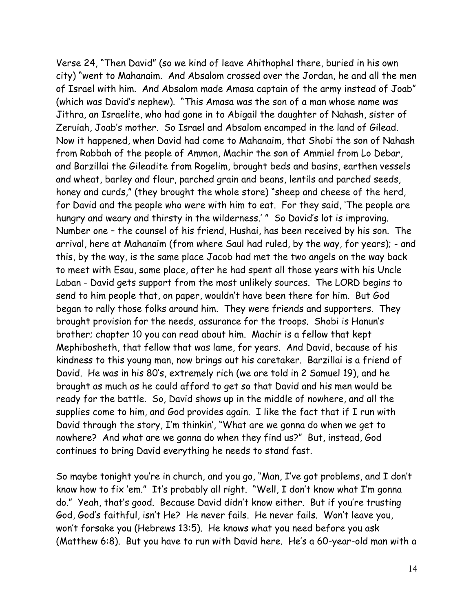Verse 24, "Then David" (so we kind of leave Ahithophel there, buried in his own city) "went to Mahanaim. And Absalom crossed over the Jordan, he and all the men of Israel with him. And Absalom made Amasa captain of the army instead of Joab" (which was David's nephew). "This Amasa was the son of a man whose name was Jithra, an Israelite, who had gone in to Abigail the daughter of Nahash, sister of Zeruiah, Joab's mother. So Israel and Absalom encamped in the land of Gilead. Now it happened, when David had come to Mahanaim, that Shobi the son of Nahash from Rabbah of the people of Ammon, Machir the son of Ammiel from Lo Debar, and Barzillai the Gileadite from Rogelim, brought beds and basins, earthen vessels and wheat, barley and flour, parched grain and beans, lentils and parched seeds, honey and curds," (they brought the whole store) "sheep and cheese of the herd, for David and the people who were with him to eat. For they said, 'The people are hungry and weary and thirsty in the wilderness.' " So David's lot is improving. Number one – the counsel of his friend, Hushai, has been received by his son. The arrival, here at Mahanaim (from where Saul had ruled, by the way, for years); - and this, by the way, is the same place Jacob had met the two angels on the way back to meet with Esau, same place, after he had spent all those years with his Uncle Laban - David gets support from the most unlikely sources. The LORD begins to send to him people that, on paper, wouldn't have been there for him. But God began to rally those folks around him. They were friends and supporters. They brought provision for the needs, assurance for the troops. Shobi is Hanun's brother; chapter 10 you can read about him. Machir is a fellow that kept Mephibosheth, that fellow that was lame, for years. And David, because of his kindness to this young man, now brings out his caretaker. Barzillai is a friend of David. He was in his 80's, extremely rich (we are told in 2 Samuel 19), and he brought as much as he could afford to get so that David and his men would be ready for the battle. So, David shows up in the middle of nowhere, and all the supplies come to him, and God provides again. I like the fact that if I run with David through the story, I'm thinkin', "What are we gonna do when we get to nowhere? And what are we gonna do when they find us?" But, instead, God continues to bring David everything he needs to stand fast.

So maybe tonight you're in church, and you go, "Man, I've got problems, and I don't know how to fix 'em." It's probably all right. "Well, I don't know what I'm gonna do." Yeah, that's good. Because David didn't know either. But if you're trusting God, God's faithful, isn't He? He never fails. He never fails. Won't leave you, won't forsake you (Hebrews 13:5). He knows what you need before you ask (Matthew 6:8). But you have to run with David here. He's a 60-year-old man with a